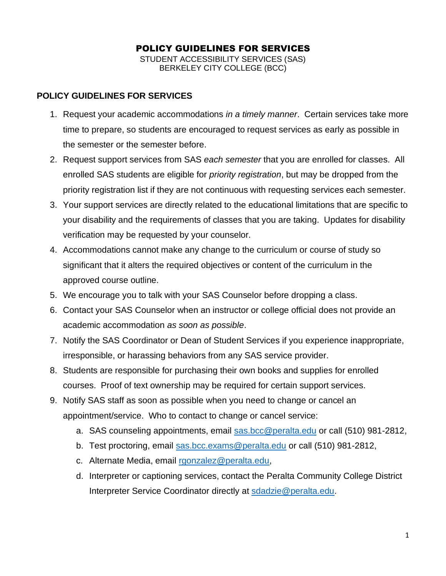## POLICY GUIDELINES FOR SERVICES STUDENT ACCESSIBILITY SERVICES (SAS) BERKELEY CITY COLLEGE (BCC)

## **POLICY GUIDELINES FOR SERVICES**

- 1. Request your academic accommodations *in a timely manner*. Certain services take more time to prepare, so students are encouraged to request services as early as possible in the semester or the semester before.
- 2. Request support services from SAS *each semester* that you are enrolled for classes. All enrolled SAS students are eligible for *priority registration*, but may be dropped from the priority registration list if they are not continuous with requesting services each semester.
- 3. Your support services are directly related to the educational limitations that are specific to your disability and the requirements of classes that you are taking. Updates for disability verification may be requested by your counselor.
- 4. Accommodations cannot make any change to the curriculum or course of study so significant that it alters the required objectives or content of the curriculum in the approved course outline.
- 5. We encourage you to talk with your SAS Counselor before dropping a class.
- 6. Contact your SAS Counselor when an instructor or college official does not provide an academic accommodation *as soon as possible*.
- 7. Notify the SAS Coordinator or Dean of Student Services if you experience inappropriate, irresponsible, or harassing behaviors from any SAS service provider.
- 8. Students are responsible for purchasing their own books and supplies for enrolled courses. Proof of text ownership may be required for certain support services.
- 9. Notify SAS staff as soon as possible when you need to change or cancel an appointment/service. Who to contact to change or cancel service:
	- a. SAS counseling appointments, email [sas.bcc@peralta.edu](mailto:sas.bcc@peralta.edu) or call (510) 981-2812,
	- b. Test proctoring, email [sas.bcc.exams@peralta.edu](mailto:sas.bcc.exams@peralta.edu) or call (510) 981-2812,
	- c. Alternate Media, email [rgonzalez@peralta.edu,](mailto:rgonzalez@peralta.edu)
	- d. Interpreter or captioning services, contact the Peralta Community College District Interpreter Service Coordinator directly at [sdadzie@peralta.edu.](mailto:sdadzie@peralta.edu)